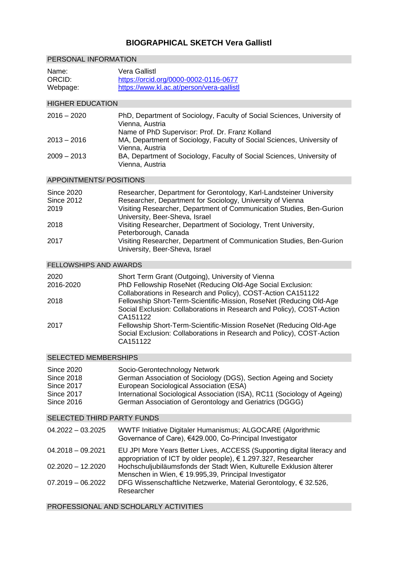## **BIOGRAPHICAL SKETCH Vera Gallistl**

| PERSONAL INFORMATION                                                                                  |                                                                                                                                                                                                                                                                                      |
|-------------------------------------------------------------------------------------------------------|--------------------------------------------------------------------------------------------------------------------------------------------------------------------------------------------------------------------------------------------------------------------------------------|
| Name:<br>ORCID:<br>Webpage:                                                                           | <b>Vera Gallistl</b><br>https://orcid.org/0000-0002-0116-0677<br>https://www.kl.ac.at/person/vera-gallistl                                                                                                                                                                           |
| <b>HIGHER EDUCATION</b>                                                                               |                                                                                                                                                                                                                                                                                      |
| $2016 - 2020$                                                                                         | PhD, Department of Sociology, Faculty of Social Sciences, University of<br>Vienna, Austria<br>Name of PhD Supervisor: Prof. Dr. Franz Kolland                                                                                                                                        |
| $2013 - 2016$                                                                                         | MA, Department of Sociology, Faculty of Social Sciences, University of<br>Vienna, Austria                                                                                                                                                                                            |
| 2009 – 2013                                                                                           | BA, Department of Sociology, Faculty of Social Sciences, University of<br>Vienna, Austria                                                                                                                                                                                            |
| <b>APPOINTMENTS/ POSITIONS</b>                                                                        |                                                                                                                                                                                                                                                                                      |
| <b>Since 2020</b><br><b>Since 2012</b><br>2019                                                        | Researcher, Department for Gerontology, Karl-Landsteiner University<br>Researcher, Department for Sociology, University of Vienna<br>Visiting Researcher, Department of Communication Studies, Ben-Gurion<br>University, Beer-Sheva, Israel                                          |
| 2018                                                                                                  | Visiting Researcher, Department of Sociology, Trent University,<br>Peterborough, Canada                                                                                                                                                                                              |
| 2017                                                                                                  | Visiting Researcher, Department of Communication Studies, Ben-Gurion<br>University, Beer-Sheva, Israel                                                                                                                                                                               |
| <b>FELLOWSHIPS AND AWARDS</b>                                                                         |                                                                                                                                                                                                                                                                                      |
| 2020<br>2016-2020                                                                                     | Short Term Grant (Outgoing), University of Vienna<br>PhD Fellowship RoseNet (Reducing Old-Age Social Exclusion:<br>Collaborations in Research and Policy), COST-Action CA151122                                                                                                      |
| 2018                                                                                                  | Fellowship Short-Term-Scientific-Mission, RoseNet (Reducing Old-Age<br>Social Exclusion: Collaborations in Research and Policy), COST-Action<br>CA151122                                                                                                                             |
| 2017                                                                                                  | Fellowship Short-Term-Scientific-Mission RoseNet (Reducing Old-Age<br>Social Exclusion: Collaborations in Research and Policy), COST-Action<br>CA151122                                                                                                                              |
| <b>SELECTED MEMBERSHIPS</b>                                                                           |                                                                                                                                                                                                                                                                                      |
| <b>Since 2020</b><br><b>Since 2018</b><br><b>Since 2017</b><br><b>Since 2017</b><br><b>Since 2016</b> | Socio-Gerontechnology Network<br>German Association of Sociology (DGS), Section Ageing and Society<br>European Sociological Association (ESA)<br>International Sociological Association (ISA), RC11 (Sociology of Ageing)<br>German Association of Gerontology and Geriatrics (DGGG) |
| <b>SELECTED THIRD PARTY FUNDS</b>                                                                     |                                                                                                                                                                                                                                                                                      |
| 04.2022 - 03.2025                                                                                     | WWTF Initiative Digitaler Humanismus; ALGOCARE (Algorithmic<br>Governance of Care), €429.000, Co-Principal Investigator                                                                                                                                                              |
| 04.2018 - 09.2021                                                                                     | EU JPI More Years Better Lives, ACCESS (Supporting digital literacy and<br>appropriation of ICT by older people), € 1.297.327, Researcher                                                                                                                                            |
| 02.2020 - 12.2020                                                                                     | Hochschuljubiläumsfonds der Stadt Wien, Kulturelle Exklusion älterer<br>Menschen in Wien, € 19.995,39, Principal Investigator                                                                                                                                                        |
| 07.2019 - 06.2022                                                                                     | DFG Wissenschaftliche Netzwerke, Material Gerontology, € 32.526,<br>Researcher                                                                                                                                                                                                       |

PROFESSIONAL AND SCHOLARLY ACTIVITIES